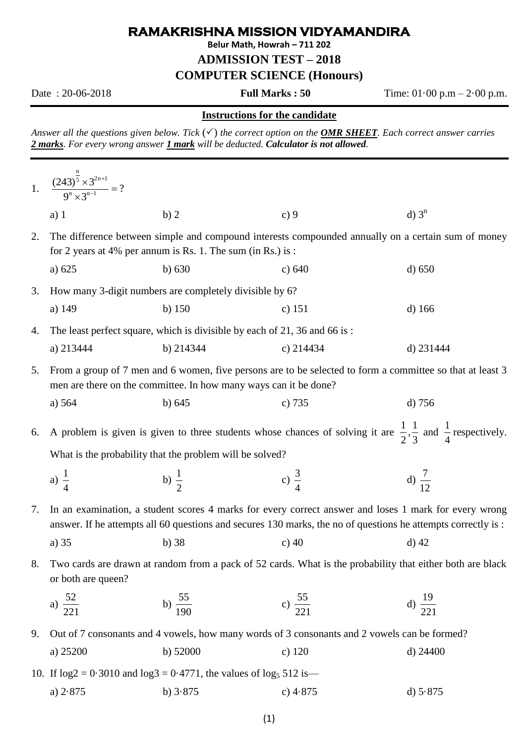## **RAMAKRISHNA MISSION VIDYAMANDIRA**

**Belur Math, Howrah – 711 202**

**ADMISSION TEST – 2018**

**COMPUTER SCIENCE (Honours)**

Date : 20-06-2018 **Full Marks : 50** Time: 01·00 p.m – 2·00 p.m.

## **Instructions for the candidate**

*Answer all the questions given below. Tick*  $(\checkmark)$  *the correct option on the OMR SHEET. Each correct answer carries 2 marks. For every wrong answer 1 mark will be deducted. Calculator is not allowed.* 

|    | 1. $\frac{(243)^{\frac{n}{5}} \times 3^{2n+1}}{2^{n} \times 2^{n-1}} = ?$                                                                                                                                             |                                                         |                     |                     |  |  |
|----|-----------------------------------------------------------------------------------------------------------------------------------------------------------------------------------------------------------------------|---------------------------------------------------------|---------------------|---------------------|--|--|
|    | $a)$ 1                                                                                                                                                                                                                | b) 2                                                    | c)9                 | $d)$ 3 <sup>n</sup> |  |  |
| 2. | The difference between simple and compound interests compounded annually on a certain sum of money<br>for 2 years at 4% per annum is Rs. 1. The sum (in Rs.) is :                                                     |                                                         |                     |                     |  |  |
|    | a) $625$                                                                                                                                                                                                              | $b)$ 630                                                | c) 640              | d) 650              |  |  |
| 3. |                                                                                                                                                                                                                       | How many 3-digit numbers are completely divisible by 6? |                     |                     |  |  |
|    | a) 149                                                                                                                                                                                                                | $b)$ 150                                                | c) $151$            | $d)$ 166            |  |  |
| 4. | The least perfect square, which is divisible by each of 21, 36 and 66 is:                                                                                                                                             |                                                         |                     |                     |  |  |
|    | a) 213444                                                                                                                                                                                                             | b) 214344                                               | c) $214434$         | d) 231444           |  |  |
| 5. | From a group of 7 men and 6 women, five persons are to be selected to form a committee so that at least 3<br>men are there on the committee. In how many ways can it be done?                                         |                                                         |                     |                     |  |  |
|    | a) 564                                                                                                                                                                                                                | b) 645                                                  | c) 735              | $d)$ 756            |  |  |
| 6. | A problem is given is given to three students whose chances of solving it are $\frac{1}{2}$ , $\frac{1}{3}$ and $\frac{1}{4}$ respectively.                                                                           |                                                         |                     |                     |  |  |
|    | What is the probability that the problem will be solved?                                                                                                                                                              |                                                         |                     |                     |  |  |
|    | a) $\frac{1}{4}$                                                                                                                                                                                                      | b) $\frac{1}{2}$                                        | c) $\frac{3}{4}$    | d) $\frac{7}{12}$   |  |  |
| 7. | In an examination, a student scores 4 marks for every correct answer and loses 1 mark for every wrong<br>answer. If he attempts all 60 questions and secures 130 marks, the no of questions he attempts correctly is: |                                                         |                     |                     |  |  |
|    | a) 35                                                                                                                                                                                                                 | $b)$ 38                                                 | c) $40$             | $d)$ 42             |  |  |
| 8. | Two cards are drawn at random from a pack of 52 cards. What is the probability that either both are black<br>or both are queen?                                                                                       |                                                         |                     |                     |  |  |
|    | a) $\frac{52}{221}$                                                                                                                                                                                                   | b) $\frac{55}{190}$                                     | c) $\frac{55}{221}$ | d) $\frac{19}{221}$ |  |  |
| 9. | Out of 7 consonants and 4 vowels, how many words of 3 consonants and 2 vowels can be formed?                                                                                                                          |                                                         |                     |                     |  |  |
|    | a) 25200                                                                                                                                                                                                              | b) $52000$                                              | $c)$ 120            | d) $24400$          |  |  |
|    | 10. If $log2 = 0.3010$ and $log3 = 0.4771$ , the values of $log_5 512$ is—                                                                                                                                            |                                                         |                     |                     |  |  |
|    | a) $2.875$                                                                                                                                                                                                            | b) $3.875$                                              | c) $4.875$          | d) $5.875$          |  |  |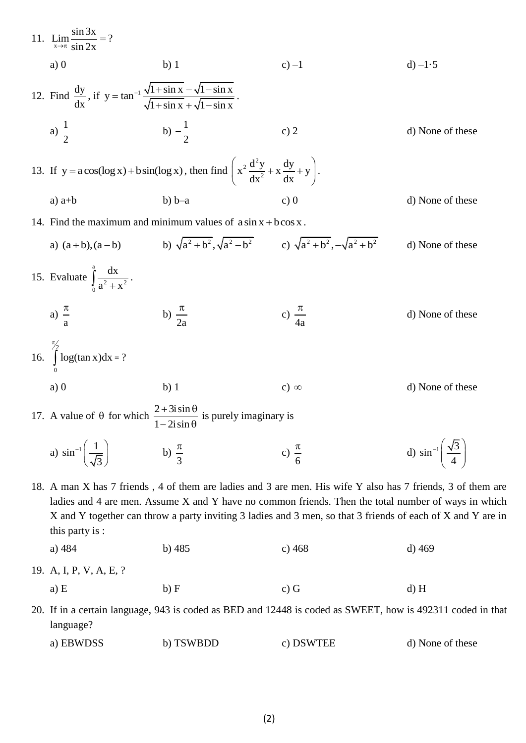| 11. $\lim_{x \to \pi} \frac{\sin 3x}{\sin 2x} = ?$                                                                                                                                                                                                                                                                                                   |                                                                                                                     |                                                                                                            |                                               |  |  |  |
|------------------------------------------------------------------------------------------------------------------------------------------------------------------------------------------------------------------------------------------------------------------------------------------------------------------------------------------------------|---------------------------------------------------------------------------------------------------------------------|------------------------------------------------------------------------------------------------------------|-----------------------------------------------|--|--|--|
| a)0                                                                                                                                                                                                                                                                                                                                                  | $b)$ 1                                                                                                              | $c$ ) $-1$                                                                                                 | d) $-1.5$                                     |  |  |  |
| 12. Find $\frac{dy}{dx}$ , if $y = \tan^{-1} \frac{\sqrt{1 + \sin x} - \sqrt{1 - \sin x}}{\sqrt{1 + \sin x} + \sqrt{1 - \sin x}}$ .                                                                                                                                                                                                                  |                                                                                                                     |                                                                                                            |                                               |  |  |  |
| a) $\frac{1}{2}$                                                                                                                                                                                                                                                                                                                                     | b) $-\frac{1}{2}$                                                                                                   | c) $2$                                                                                                     | d) None of these                              |  |  |  |
| 13. If $y = a\cos(\log x) + b\sin(\log x)$ , then find $\left(x^2 \frac{d^2y}{dx^2} + x \frac{dy}{dx} + y\right)$ .                                                                                                                                                                                                                                  |                                                                                                                     |                                                                                                            |                                               |  |  |  |
| a) $a+b$                                                                                                                                                                                                                                                                                                                                             | $b) b-a$                                                                                                            | c)0                                                                                                        | d) None of these                              |  |  |  |
| 14. Find the maximum and minimum values of $a \sin x + b \cos x$ .                                                                                                                                                                                                                                                                                   |                                                                                                                     |                                                                                                            |                                               |  |  |  |
|                                                                                                                                                                                                                                                                                                                                                      | a) $(a+b)$ , $(a-b)$ b) $\sqrt{a^2+b^2}$ , $\sqrt{a^2-b^2}$ c) $\sqrt{a^2+b^2}$ , $-\sqrt{a^2+b^2}$                 |                                                                                                            | d) None of these                              |  |  |  |
| 15. Evaluate $\int_{0}^{a} \frac{dx}{a^2 + x^2}$ .                                                                                                                                                                                                                                                                                                   |                                                                                                                     |                                                                                                            |                                               |  |  |  |
| a) $\frac{\pi}{a}$                                                                                                                                                                                                                                                                                                                                   | b) $\frac{\pi}{2a}$                                                                                                 | c) $\frac{\pi}{4a}$                                                                                        | d) None of these                              |  |  |  |
| 16. $\int_{0}^{\frac{\pi}{2}} \log(\tan x) dx = ?$                                                                                                                                                                                                                                                                                                   |                                                                                                                     |                                                                                                            |                                               |  |  |  |
| a)0                                                                                                                                                                                                                                                                                                                                                  | $b)$ 1                                                                                                              | c) $\infty$                                                                                                | d) None of these                              |  |  |  |
|                                                                                                                                                                                                                                                                                                                                                      | 17. A value of $\theta$ for which $\frac{2+3i\sin\theta}{1-i\sin\theta}$ is purely imaginary is<br>$1-2i\sin\theta$ |                                                                                                            |                                               |  |  |  |
| a) $\sin^{-1}\left(\frac{1}{\sqrt{3}}\right)$                                                                                                                                                                                                                                                                                                        | b) $\frac{\pi}{3}$                                                                                                  | c) $\frac{\pi}{6}$                                                                                         | d) $\sin^{-1}\left(\frac{\sqrt{3}}{4}\right)$ |  |  |  |
| 18. A man X has 7 friends, 4 of them are ladies and 3 are men. His wife Y also has 7 friends, 3 of them are<br>ladies and 4 are men. Assume X and Y have no common friends. Then the total number of ways in which<br>X and Y together can throw a party inviting 3 ladies and 3 men, so that 3 friends of each of X and Y are in<br>this party is : |                                                                                                                     |                                                                                                            |                                               |  |  |  |
| a) 484                                                                                                                                                                                                                                                                                                                                               | $b)$ 485                                                                                                            | c) 468                                                                                                     | $d)$ 469                                      |  |  |  |
| 19. A, I, P, V, A, E, ?                                                                                                                                                                                                                                                                                                                              |                                                                                                                     |                                                                                                            |                                               |  |  |  |
| a) E                                                                                                                                                                                                                                                                                                                                                 | b) F                                                                                                                | $c)$ G                                                                                                     | $d)$ H                                        |  |  |  |
|                                                                                                                                                                                                                                                                                                                                                      |                                                                                                                     | 20. If in a certain language, 943 is coded as BED and 12448 is coded as SWEET, how is 492311 coded in that |                                               |  |  |  |

language?

a) EBWDSS b) TSWBDD c) DSWTEE d) None of these